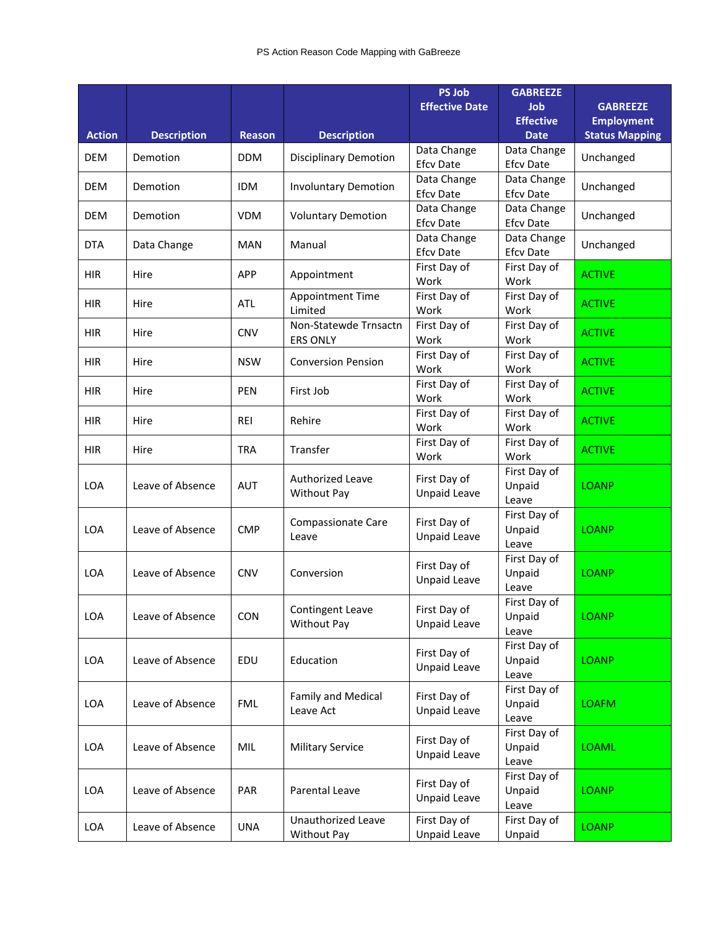|               |                    |               |                                          | <b>PS Job</b>                       | <b>GABREEZE</b>                 |                                      |
|---------------|--------------------|---------------|------------------------------------------|-------------------------------------|---------------------------------|--------------------------------------|
|               |                    |               |                                          | <b>Effective Date</b>               | Job<br><b>Effective</b>         | <b>GABREEZE</b><br><b>Employment</b> |
| <b>Action</b> | <b>Description</b> | <b>Reason</b> | <b>Description</b>                       |                                     | <b>Date</b>                     | <b>Status Mapping</b>                |
| <b>DEM</b>    | Demotion           | <b>DDM</b>    | <b>Disciplinary Demotion</b>             | Data Change<br><b>Efcv Date</b>     | Data Change<br><b>Efcv Date</b> | Unchanged                            |
| <b>DEM</b>    | Demotion           | <b>IDM</b>    | <b>Involuntary Demotion</b>              | Data Change<br><b>Efcv Date</b>     | Data Change<br><b>Efcv Date</b> | Unchanged                            |
| <b>DEM</b>    | Demotion           | <b>VDM</b>    | <b>Voluntary Demotion</b>                | Data Change<br><b>Efcv Date</b>     | Data Change<br><b>Efcv Date</b> | Unchanged                            |
| <b>DTA</b>    | Data Change        | <b>MAN</b>    | Manual                                   | Data Change<br><b>Efcv Date</b>     | Data Change<br><b>Efcv Date</b> | Unchanged                            |
| <b>HIR</b>    | Hire               | <b>APP</b>    | Appointment                              | First Day of<br>Work                | First Day of<br>Work            | <b>ACTIVE</b>                        |
| <b>HIR</b>    | Hire               | ATL           | Appointment Time<br>Limited              | First Day of<br>Work                | First Day of<br>Work            | <b>ACTIVE</b>                        |
| <b>HIR</b>    | Hire               | <b>CNV</b>    | Non-Statewde Trnsactn<br><b>ERS ONLY</b> | First Day of<br>Work                | First Day of<br>Work            | <b>ACTIVE</b>                        |
| <b>HIR</b>    | Hire               | <b>NSW</b>    | <b>Conversion Pension</b>                | First Day of<br>Work                | First Day of<br>Work            | <b>ACTIVE</b>                        |
| <b>HIR</b>    | Hire               | <b>PEN</b>    | First Job                                | First Day of<br>Work                | First Day of<br>Work            | <b>ACTIVE</b>                        |
| <b>HIR</b>    | Hire               | <b>REI</b>    | Rehire                                   | First Day of<br>Work                | First Day of<br>Work            | <b>ACTIVE</b>                        |
| <b>HIR</b>    | Hire               | <b>TRA</b>    | Transfer                                 | First Day of<br>Work                | First Day of<br>Work            | <b>ACTIVE</b>                        |
| <b>LOA</b>    | Leave of Absence   | <b>AUT</b>    | Authorized Leave<br>Without Pay          | First Day of<br><b>Unpaid Leave</b> | First Day of<br>Unpaid<br>Leave | <b>LOANP</b>                         |
| LOA           | Leave of Absence   | <b>CMP</b>    | <b>Compassionate Care</b><br>Leave       | First Day of<br>Unpaid Leave        | First Day of<br>Unpaid<br>Leave | <b>LOANP</b>                         |
| LOA           | Leave of Absence   | <b>CNV</b>    | Conversion                               | First Day of<br><b>Unpaid Leave</b> | First Day of<br>Unpaid<br>Leave | <b>LOANP</b>                         |
| LOA           | Leave of Absence   | <b>CON</b>    | Contingent Leave<br>Without Pay          | First Day of<br><b>Unpaid Leave</b> | First Day of<br>Unpaid<br>Leave | <b>LOANP</b>                         |
| LOA           | Leave of Absence   | EDU           | Education                                | First Day of<br><b>Unpaid Leave</b> | First Day of<br>Unpaid<br>Leave | <b>LOANP</b>                         |
| LOA           | Leave of Absence   | <b>FML</b>    | Family and Medical<br>Leave Act          | First Day of<br>Unpaid Leave        | First Day of<br>Unpaid<br>Leave | <b>LOAFM</b>                         |
| LOA           | Leave of Absence   | MIL           | <b>Military Service</b>                  | First Day of<br>Unpaid Leave        | First Day of<br>Unpaid<br>Leave | <b>LOAML</b>                         |
| LOA           | Leave of Absence   | PAR           | Parental Leave                           | First Day of<br>Unpaid Leave        | First Day of<br>Unpaid<br>Leave | <b>LOANP</b>                         |
| LOA           | Leave of Absence   | <b>UNA</b>    | Unauthorized Leave<br>Without Pay        | First Day of<br>Unpaid Leave        | First Day of<br>Unpaid          | <b>LOANP</b>                         |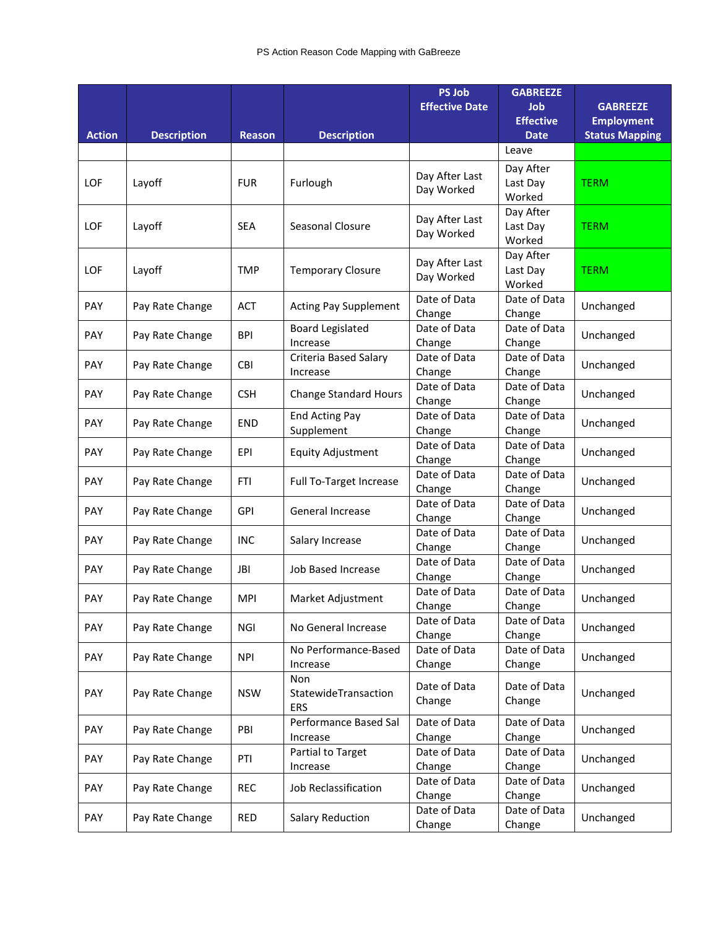|               |                    |               |                                     | <b>PS Job</b><br><b>Effective Date</b> | <b>GABREEZE</b><br>Job<br><b>Effective</b> | <b>GABREEZE</b><br><b>Employment</b> |
|---------------|--------------------|---------------|-------------------------------------|----------------------------------------|--------------------------------------------|--------------------------------------|
| <b>Action</b> | <b>Description</b> | <b>Reason</b> | <b>Description</b>                  |                                        | <b>Date</b>                                | <b>Status Mapping</b>                |
|               |                    |               |                                     |                                        | Leave                                      |                                      |
| <b>LOF</b>    | Layoff             | <b>FUR</b>    | Furlough                            | Day After Last<br>Day Worked           | Day After<br>Last Day<br>Worked            | <b>TERM</b>                          |
| <b>LOF</b>    | Layoff             | <b>SEA</b>    | <b>Seasonal Closure</b>             | Day After Last<br>Day Worked           | Day After<br>Last Day<br>Worked            | <b>TERM</b>                          |
| LOF           | Layoff             | <b>TMP</b>    | <b>Temporary Closure</b>            | Day After Last<br>Day Worked           | Day After<br>Last Day<br>Worked            | <b>TERM</b>                          |
| PAY           | Pay Rate Change    | <b>ACT</b>    | <b>Acting Pay Supplement</b>        | Date of Data<br>Change                 | Date of Data<br>Change                     | Unchanged                            |
| PAY           | Pay Rate Change    | <b>BPI</b>    | <b>Board Legislated</b><br>Increase | Date of Data<br>Change                 | Date of Data<br>Change                     | Unchanged                            |
| PAY           | Pay Rate Change    | <b>CBI</b>    | Criteria Based Salary<br>Increase   | Date of Data<br>Change                 | Date of Data<br>Change                     | Unchanged                            |
| PAY           | Pay Rate Change    | <b>CSH</b>    | <b>Change Standard Hours</b>        | Date of Data<br>Change                 | Date of Data<br>Change                     | Unchanged                            |
| PAY           | Pay Rate Change    | <b>END</b>    | <b>End Acting Pay</b><br>Supplement | Date of Data<br>Change                 | Date of Data<br>Change                     | Unchanged                            |
| PAY           | Pay Rate Change    | EPI           | <b>Equity Adjustment</b>            | Date of Data<br>Change                 | Date of Data<br>Change                     | Unchanged                            |
| <b>PAY</b>    | Pay Rate Change    | <b>FTI</b>    | Full To-Target Increase             | Date of Data<br>Change                 | Date of Data<br>Change                     | Unchanged                            |
| PAY           | Pay Rate Change    | <b>GPI</b>    | General Increase                    | Date of Data<br>Change                 | Date of Data<br>Change                     | Unchanged                            |
| PAY           | Pay Rate Change    | <b>INC</b>    | Salary Increase                     | Date of Data<br>Change                 | Date of Data<br>Change                     | Unchanged                            |
| <b>PAY</b>    | Pay Rate Change    | <b>JBI</b>    | Job Based Increase                  | Date of Data<br>Change                 | Date of Data<br>Change                     | Unchanged                            |
| PAY           | Pay Rate Change    | <b>MPI</b>    | Market Adjustment                   | Date of Data<br>Change                 | Date of Data<br>Change                     | Unchanged                            |
| PAY           | Pay Rate Change    | NGI           | No General Increase                 | Date of Data<br>Change                 | Date of Data<br>Change                     | Unchanged                            |
| PAY           | Pay Rate Change    | <b>NPI</b>    | No Performance-Based<br>Increase    | Date of Data<br>Change                 | Date of Data<br>Change                     | Unchanged                            |
| <b>PAY</b>    | Pay Rate Change    | <b>NSW</b>    | Non<br>StatewideTransaction<br>ERS  | Date of Data<br>Change                 | Date of Data<br>Change                     | Unchanged                            |
| PAY           | Pay Rate Change    | PBI           | Performance Based Sal<br>Increase   | Date of Data<br>Change                 | Date of Data<br>Change                     | Unchanged                            |
| PAY           | Pay Rate Change    | PTI           | Partial to Target<br>Increase       | Date of Data<br>Change                 | Date of Data<br>Change                     | Unchanged                            |
| PAY           | Pay Rate Change    | <b>REC</b>    | Job Reclassification                | Date of Data<br>Change                 | Date of Data<br>Change                     | Unchanged                            |
| PAY           | Pay Rate Change    | <b>RED</b>    | <b>Salary Reduction</b>             | Date of Data<br>Change                 | Date of Data<br>Change                     | Unchanged                            |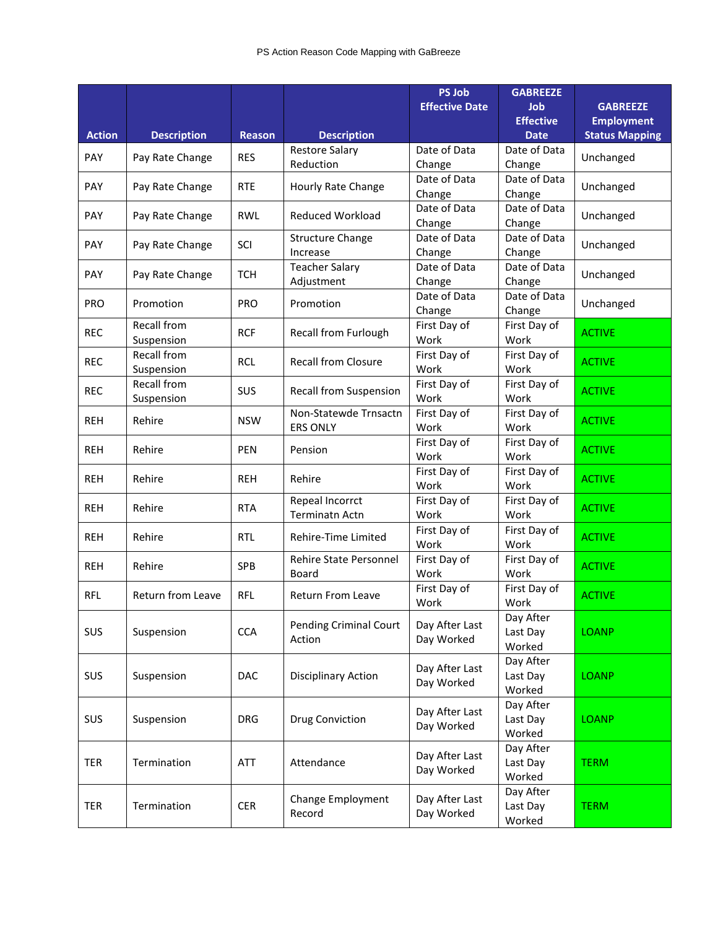|               |                                  |               |                                          | <b>PS Job</b>                | <b>GABREEZE</b>                 |                       |
|---------------|----------------------------------|---------------|------------------------------------------|------------------------------|---------------------------------|-----------------------|
|               |                                  |               |                                          | <b>Effective Date</b>        | Job                             | <b>GABREEZE</b>       |
|               |                                  |               |                                          |                              | <b>Effective</b>                | <b>Employment</b>     |
| <b>Action</b> | <b>Description</b>               | <b>Reason</b> | <b>Description</b>                       |                              | <b>Date</b>                     | <b>Status Mapping</b> |
| PAY           | Pay Rate Change                  | <b>RES</b>    | <b>Restore Salary</b><br>Reduction       | Date of Data<br>Change       | Date of Data<br>Change          | Unchanged             |
| PAY           | Pay Rate Change                  | <b>RTE</b>    | Hourly Rate Change                       | Date of Data<br>Change       | Date of Data<br>Change          | Unchanged             |
| PAY           | Pay Rate Change                  | <b>RWL</b>    | Reduced Workload                         | Date of Data<br>Change       | Date of Data<br>Change          | Unchanged             |
| PAY           | Pay Rate Change                  | SCI           | <b>Structure Change</b><br>Increase      | Date of Data<br>Change       | Date of Data<br>Change          | Unchanged             |
| <b>PAY</b>    | Pay Rate Change                  | <b>TCH</b>    | <b>Teacher Salary</b><br>Adjustment      | Date of Data<br>Change       | Date of Data<br>Change          | Unchanged             |
| <b>PRO</b>    | Promotion                        | <b>PRO</b>    | Promotion                                | Date of Data<br>Change       | Date of Data<br>Change          | Unchanged             |
| <b>REC</b>    | <b>Recall from</b><br>Suspension | <b>RCF</b>    | <b>Recall from Furlough</b>              | First Day of<br>Work         | First Day of<br>Work            | <b>ACTIVE</b>         |
| <b>REC</b>    | Recall from<br>Suspension        | <b>RCL</b>    | <b>Recall from Closure</b>               | First Day of<br>Work         | First Day of<br>Work            | <b>ACTIVE</b>         |
| <b>REC</b>    | <b>Recall from</b><br>Suspension | SUS           | <b>Recall from Suspension</b>            | First Day of<br>Work         | First Day of<br>Work            | <b>ACTIVE</b>         |
| <b>REH</b>    | Rehire                           | <b>NSW</b>    | Non-Statewde Trnsactn<br><b>ERS ONLY</b> | First Day of<br>Work         | First Day of<br>Work            | <b>ACTIVE</b>         |
| <b>REH</b>    | Rehire                           | <b>PEN</b>    | Pension                                  | First Day of<br>Work         | First Day of<br>Work            | <b>ACTIVE</b>         |
| <b>REH</b>    | Rehire                           | <b>REH</b>    | Rehire                                   | First Day of<br>Work         | First Day of<br>Work            | <b>ACTIVE</b>         |
| <b>REH</b>    | Rehire                           | <b>RTA</b>    | Repeal Incorrct<br><b>Terminatn Actn</b> | First Day of<br>Work         | First Day of<br>Work            | <b>ACTIVE</b>         |
| <b>REH</b>    | Rehire                           | <b>RTL</b>    | Rehire-Time Limited                      | First Day of<br>Work         | First Day of<br>Work            | <b>ACTIVE</b>         |
| <b>REH</b>    | Rehire                           | SPB           | Rehire State Personnel<br>Board          | First Day of<br>Work         | First Day of<br>Work            | <b>ACTIVE</b>         |
| <b>RFL</b>    | Return from Leave                | <b>RFL</b>    | <b>Return From Leave</b>                 | First Day of<br>Work         | First Day of<br>Work            | <b>ACTIVE</b>         |
| SUS           | Suspension                       | <b>CCA</b>    | <b>Pending Criminal Court</b><br>Action  | Day After Last<br>Day Worked | Day After<br>Last Day<br>Worked | <b>LOANP</b>          |
| SUS           | Suspension                       | <b>DAC</b>    | Disciplinary Action                      | Day After Last<br>Day Worked | Day After<br>Last Day<br>Worked | <b>LOANP</b>          |
| SUS           | Suspension                       | <b>DRG</b>    | <b>Drug Conviction</b>                   | Day After Last<br>Day Worked | Day After<br>Last Day<br>Worked | <b>LOANP</b>          |
| TER           | Termination                      | ATT           | Attendance                               | Day After Last<br>Day Worked | Day After<br>Last Day<br>Worked | <b>TERM</b>           |
| <b>TER</b>    | Termination                      | <b>CER</b>    | <b>Change Employment</b><br>Record       | Day After Last<br>Day Worked | Day After<br>Last Day<br>Worked | <b>TERM</b>           |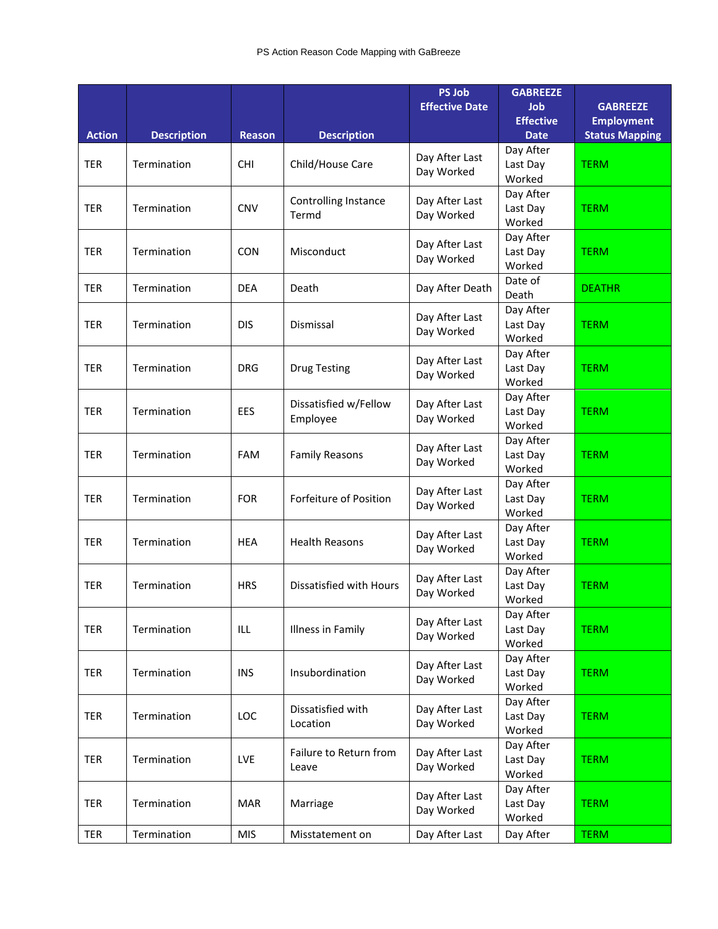|               |                    |               |                                   | <b>PS Job</b><br><b>Effective Date</b> | <b>GABREEZE</b><br><b>Job</b>   | <b>GABREEZE</b>       |
|---------------|--------------------|---------------|-----------------------------------|----------------------------------------|---------------------------------|-----------------------|
|               |                    |               |                                   |                                        | <b>Effective</b>                | <b>Employment</b>     |
| <b>Action</b> | <b>Description</b> | <b>Reason</b> | <b>Description</b>                |                                        | <b>Date</b>                     | <b>Status Mapping</b> |
| <b>TER</b>    | Termination        | <b>CHI</b>    | Child/House Care                  | Day After Last<br>Day Worked           | Day After<br>Last Day<br>Worked | <b>TERM</b>           |
| <b>TER</b>    | Termination        | <b>CNV</b>    | Controlling Instance<br>Termd     | Day After Last<br>Day Worked           | Day After<br>Last Day<br>Worked | <b>TERM</b>           |
| <b>TER</b>    | Termination        | <b>CON</b>    | Misconduct                        | Day After Last<br>Day Worked           | Day After<br>Last Day<br>Worked | <b>TERM</b>           |
| <b>TER</b>    | Termination        | <b>DEA</b>    | Death                             | Day After Death                        | Date of<br>Death                | <b>DEATHR</b>         |
| <b>TER</b>    | Termination        | <b>DIS</b>    | Dismissal                         | Day After Last<br>Day Worked           | Day After<br>Last Day<br>Worked | <b>TERM</b>           |
| TER           | Termination        | <b>DRG</b>    | <b>Drug Testing</b>               | Day After Last<br>Day Worked           | Day After<br>Last Day<br>Worked | <b>TERM</b>           |
| <b>TER</b>    | Termination        | EES           | Dissatisfied w/Fellow<br>Employee | Day After Last<br>Day Worked           | Day After<br>Last Day<br>Worked | <b>TERM</b>           |
| <b>TER</b>    | Termination        | <b>FAM</b>    | <b>Family Reasons</b>             | Day After Last<br>Day Worked           | Day After<br>Last Day<br>Worked | <b>TERM</b>           |
| <b>TER</b>    | Termination        | <b>FOR</b>    | Forfeiture of Position            | Day After Last<br>Day Worked           | Day After<br>Last Day<br>Worked | <b>TERM</b>           |
| <b>TER</b>    | Termination        | <b>HEA</b>    | <b>Health Reasons</b>             | Day After Last<br>Day Worked           | Day After<br>Last Day<br>Worked | <b>TERM</b>           |
| <b>TER</b>    | Termination        | <b>HRS</b>    | Dissatisfied with Hours           | Day After Last<br>Day Worked           | Day After<br>Last Day<br>Worked | <b>TERM</b>           |
| <b>TER</b>    | Termination        | ILL           | Illness in Family                 | Day After Last<br>Day Worked           | Day After<br>Last Day<br>Worked | <b>TERM</b>           |
| <b>TER</b>    | Termination        | <b>INS</b>    | Insubordination                   | Day After Last<br>Day Worked           | Day After<br>Last Day<br>Worked | <b>TERM</b>           |
| <b>TER</b>    | Termination        | LOC           | Dissatisfied with<br>Location     | Day After Last<br>Day Worked           | Day After<br>Last Day<br>Worked | <b>TERM</b>           |
| TER           | Termination        | LVE           | Failure to Return from<br>Leave   | Day After Last<br>Day Worked           | Day After<br>Last Day<br>Worked | <b>TERM</b>           |
| TER           | Termination        | <b>MAR</b>    | Marriage                          | Day After Last<br>Day Worked           | Day After<br>Last Day<br>Worked | <b>TERM</b>           |
| TER           | Termination        | <b>MIS</b>    | Misstatement on                   | Day After Last                         | Day After                       | <b>TERM</b>           |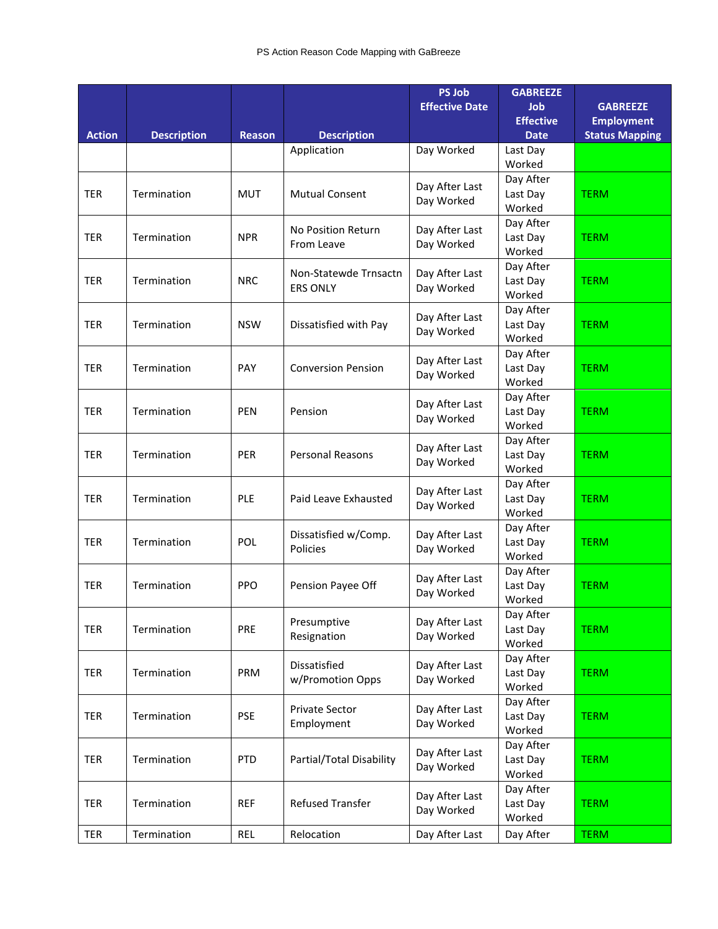|               |                    |               |                                          | <b>PS Job</b><br><b>Effective Date</b> | <b>GABREEZE</b><br><b>Job</b><br><b>Effective</b> | <b>GABREEZE</b><br><b>Employment</b> |
|---------------|--------------------|---------------|------------------------------------------|----------------------------------------|---------------------------------------------------|--------------------------------------|
| <b>Action</b> | <b>Description</b> | <b>Reason</b> | <b>Description</b>                       |                                        | <b>Date</b>                                       | <b>Status Mapping</b>                |
|               |                    |               | Application                              | Day Worked                             | Last Day<br>Worked                                |                                      |
| <b>TER</b>    | Termination        | <b>MUT</b>    | <b>Mutual Consent</b>                    | Day After Last<br>Day Worked           | Day After<br>Last Day<br>Worked                   | <b>TERM</b>                          |
| <b>TER</b>    | Termination        | <b>NPR</b>    | No Position Return<br>From Leave         | Day After Last<br>Day Worked           | Day After<br>Last Day<br>Worked                   | <b>TERM</b>                          |
| <b>TER</b>    | Termination        | <b>NRC</b>    | Non-Statewde Trnsactn<br><b>ERS ONLY</b> | Day After Last<br>Day Worked           | Day After<br>Last Day<br>Worked                   | <b>TERM</b>                          |
| <b>TER</b>    | Termination        | <b>NSW</b>    | Dissatisfied with Pay                    | Day After Last<br>Day Worked           | Day After<br>Last Day<br>Worked                   | <b>TERM</b>                          |
| <b>TER</b>    | Termination        | PAY           | <b>Conversion Pension</b>                | Day After Last<br>Day Worked           | Day After<br>Last Day<br>Worked                   | <b>TERM</b>                          |
| <b>TER</b>    | Termination        | <b>PEN</b>    | Pension                                  | Day After Last<br>Day Worked           | Day After<br>Last Day<br>Worked                   | <b>TERM</b>                          |
| <b>TER</b>    | Termination        | <b>PER</b>    | Personal Reasons                         | Day After Last<br>Day Worked           | Day After<br>Last Day<br>Worked                   | <b>TERM</b>                          |
| <b>TER</b>    | Termination        | PLE           | Paid Leave Exhausted                     | Day After Last<br>Day Worked           | Day After<br>Last Day<br>Worked                   | <b>TERM</b>                          |
| <b>TER</b>    | Termination        | POL           | Dissatisfied w/Comp.<br>Policies         | Day After Last<br>Day Worked           | Day After<br>Last Day<br>Worked                   | <b>TERM</b>                          |
| <b>TER</b>    | Termination        | <b>PPO</b>    | Pension Payee Off                        | Day After Last<br>Day Worked           | Day After<br>Last Day<br>Worked                   | <b>TERM</b>                          |
| <b>TER</b>    | Termination        | PRE           | Presumptive<br>Resignation               | Day After Last<br>Day Worked           | Day After<br>Last Day<br>Worked                   | <b>TERM</b>                          |
| <b>TER</b>    | Termination        | PRM           | Dissatisfied<br>w/Promotion Opps         | Day After Last<br>Day Worked           | Day After<br>Last Day<br>Worked                   | <b>TERM</b>                          |
| <b>TER</b>    | Termination        | <b>PSE</b>    | Private Sector<br>Employment             | Day After Last<br>Day Worked           | Day After<br>Last Day<br>Worked                   | <b>TERM</b>                          |
| TER           | Termination        | PTD           | Partial/Total Disability                 | Day After Last<br>Day Worked           | Day After<br>Last Day<br>Worked                   | <b>TERM</b>                          |
| TER           | Termination        | <b>REF</b>    | <b>Refused Transfer</b>                  | Day After Last<br>Day Worked           | Day After<br>Last Day<br>Worked                   | <b>TERM</b>                          |
| TER           | Termination        | <b>REL</b>    | Relocation                               | Day After Last                         | Day After                                         | <b>TERM</b>                          |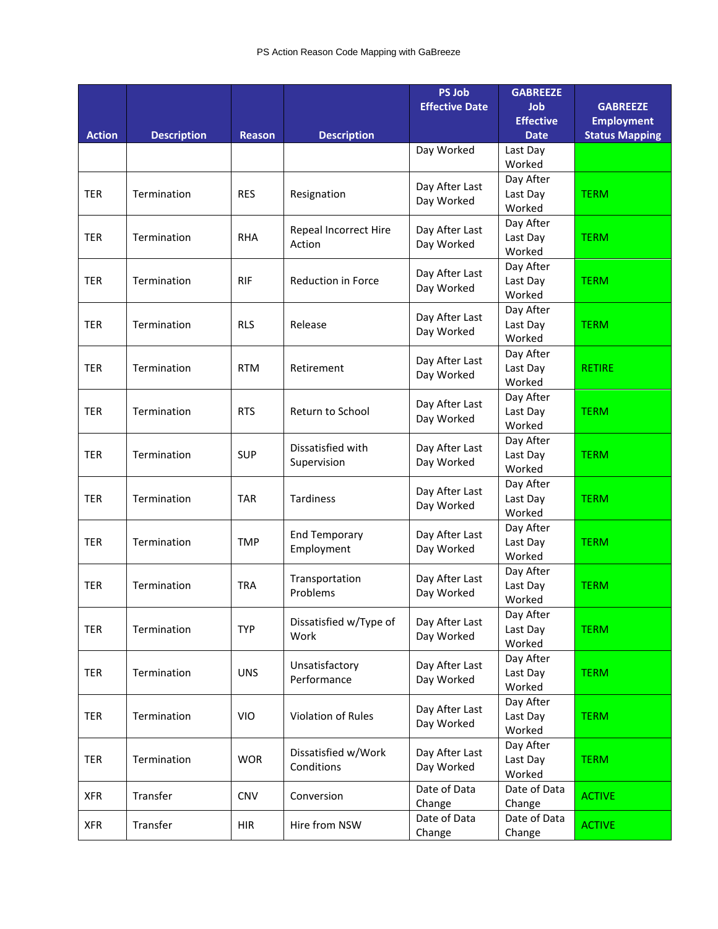|               |                    |               |                                    | <b>PS Job</b>         | <b>GABREEZE</b>                |                                      |
|---------------|--------------------|---------------|------------------------------------|-----------------------|--------------------------------|--------------------------------------|
|               |                    |               |                                    | <b>Effective Date</b> | <b>Job</b><br><b>Effective</b> | <b>GABREEZE</b><br><b>Employment</b> |
| <b>Action</b> | <b>Description</b> | <b>Reason</b> | <b>Description</b>                 |                       | <b>Date</b>                    | <b>Status Mapping</b>                |
|               |                    |               |                                    | Day Worked            | Last Day                       |                                      |
|               |                    |               |                                    |                       | Worked                         |                                      |
|               |                    |               |                                    | Day After Last        | Day After                      |                                      |
| <b>TER</b>    | Termination        | <b>RES</b>    | Resignation                        | Day Worked            | Last Day                       | <b>TERM</b>                          |
|               |                    |               |                                    |                       | Worked                         |                                      |
|               |                    |               | <b>Repeal Incorrect Hire</b>       | Day After Last        | Day After                      |                                      |
| <b>TER</b>    | Termination        | <b>RHA</b>    | Action                             | Day Worked            | Last Day                       | <b>TERM</b>                          |
|               |                    |               |                                    |                       | Worked                         |                                      |
| <b>TER</b>    | Termination        | <b>RIF</b>    | <b>Reduction in Force</b>          | Day After Last        | Day After<br>Last Day          | <b>TERM</b>                          |
|               |                    |               |                                    | Day Worked            | Worked                         |                                      |
|               |                    |               |                                    |                       | Day After                      |                                      |
| <b>TER</b>    | Termination        | <b>RLS</b>    | Release                            | Day After Last        | Last Day                       | <b>TERM</b>                          |
|               |                    |               |                                    | Day Worked            | Worked                         |                                      |
|               |                    |               |                                    | Day After Last        | Day After                      |                                      |
| <b>TER</b>    | Termination        | <b>RTM</b>    | Retirement                         | Day Worked            | Last Day                       | <b>RETIRE</b>                        |
|               |                    |               |                                    |                       | Worked                         |                                      |
|               |                    |               |                                    | Day After Last        | Day After                      |                                      |
| <b>TER</b>    | Termination        | <b>RTS</b>    | Return to School                   | Day Worked            | Last Day                       | <b>TERM</b>                          |
|               |                    |               |                                    |                       | Worked                         |                                      |
| <b>TER</b>    | Termination        | <b>SUP</b>    | Dissatisfied with                  | Day After Last        | Day After<br>Last Day          | <b>TERM</b>                          |
|               |                    |               | Supervision                        | Day Worked            | Worked                         |                                      |
|               |                    |               |                                    |                       | Day After                      |                                      |
| <b>TER</b>    | Termination        | <b>TAR</b>    | <b>Tardiness</b>                   | Day After Last        | Last Day                       | <b>TERM</b>                          |
|               |                    |               |                                    | Day Worked            | Worked                         |                                      |
|               |                    |               |                                    | Day After Last        | Day After                      |                                      |
| <b>TER</b>    | Termination        | <b>TMP</b>    | <b>End Temporary</b><br>Employment | Day Worked            | Last Day                       | <b>TERM</b>                          |
|               |                    |               |                                    |                       | Worked                         |                                      |
|               |                    |               | Transportation                     | Day After Last        | Day After                      |                                      |
| <b>TER</b>    | Termination        | <b>TRA</b>    | Problems                           | Day Worked            | Last Day                       | <b>TERM</b>                          |
|               |                    |               |                                    |                       | Worked<br>Day After            |                                      |
| <b>TER</b>    | Termination        | <b>TYP</b>    | Dissatisfied w/Type of             | Day After Last        | Last Day                       | <b>TERM</b>                          |
|               |                    |               | Work                               | Day Worked            | Worked                         |                                      |
|               |                    |               |                                    |                       | Day After                      |                                      |
| <b>TER</b>    | Termination        | <b>UNS</b>    | Unsatisfactory                     | Day After Last        | Last Day                       | <b>TERM</b>                          |
|               |                    |               | Performance                        | Day Worked            | Worked                         |                                      |
|               |                    |               |                                    | Day After Last        | Day After                      |                                      |
| <b>TER</b>    | Termination        | VIO           | Violation of Rules                 | Day Worked            | Last Day                       | <b>TERM</b>                          |
|               |                    |               |                                    |                       | Worked                         |                                      |
| <b>TER</b>    |                    |               | Dissatisfied w/Work                | Day After Last        | Day After                      |                                      |
|               | Termination        | <b>WOR</b>    | Conditions                         | Day Worked            | Last Day<br>Worked             | <b>TERM</b>                          |
|               |                    |               |                                    | Date of Data          | Date of Data                   |                                      |
| <b>XFR</b>    | Transfer           | <b>CNV</b>    | Conversion                         | Change                | Change                         | <b>ACTIVE</b>                        |
|               |                    |               |                                    | Date of Data          | Date of Data                   |                                      |
| <b>XFR</b>    | Transfer           | <b>HIR</b>    | Hire from NSW                      | Change                | Change                         | <b>ACTIVE</b>                        |